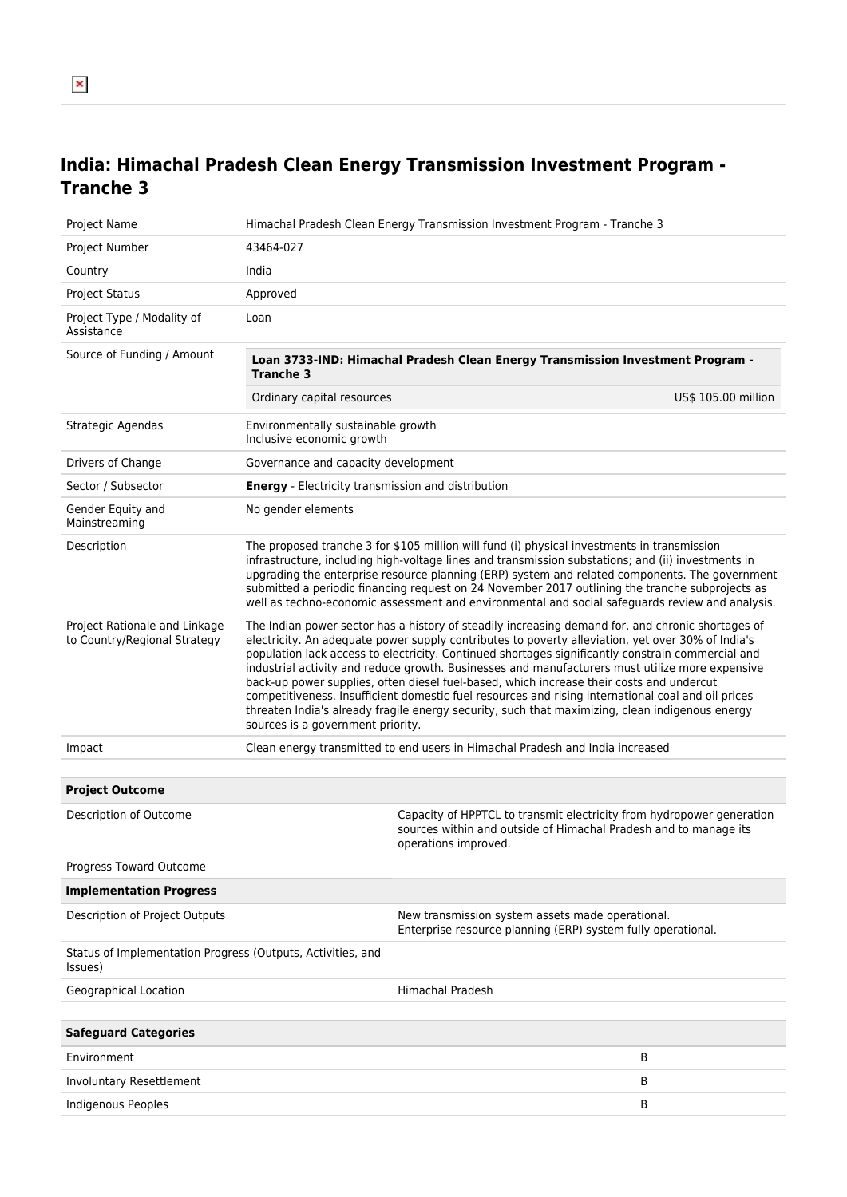# **India: Himachal Pradesh Clean Energy Transmission Investment Program - Tranche 3**

| Project Name                                                           | Himachal Pradesh Clean Energy Transmission Investment Program - Tranche 3                                                                                                                                                                                                                                                                                                                                                                                                                                                                                                                                                                                                                                                                                |                                                                                                                                           |  |
|------------------------------------------------------------------------|----------------------------------------------------------------------------------------------------------------------------------------------------------------------------------------------------------------------------------------------------------------------------------------------------------------------------------------------------------------------------------------------------------------------------------------------------------------------------------------------------------------------------------------------------------------------------------------------------------------------------------------------------------------------------------------------------------------------------------------------------------|-------------------------------------------------------------------------------------------------------------------------------------------|--|
| Project Number                                                         | 43464-027                                                                                                                                                                                                                                                                                                                                                                                                                                                                                                                                                                                                                                                                                                                                                |                                                                                                                                           |  |
| Country                                                                | India                                                                                                                                                                                                                                                                                                                                                                                                                                                                                                                                                                                                                                                                                                                                                    |                                                                                                                                           |  |
| <b>Project Status</b>                                                  | Approved                                                                                                                                                                                                                                                                                                                                                                                                                                                                                                                                                                                                                                                                                                                                                 |                                                                                                                                           |  |
| Project Type / Modality of<br>Assistance                               | Loan                                                                                                                                                                                                                                                                                                                                                                                                                                                                                                                                                                                                                                                                                                                                                     |                                                                                                                                           |  |
| Source of Funding / Amount                                             | Loan 3733-IND: Himachal Pradesh Clean Energy Transmission Investment Program -<br><b>Tranche 3</b>                                                                                                                                                                                                                                                                                                                                                                                                                                                                                                                                                                                                                                                       |                                                                                                                                           |  |
|                                                                        | Ordinary capital resources                                                                                                                                                                                                                                                                                                                                                                                                                                                                                                                                                                                                                                                                                                                               | US\$ 105.00 million                                                                                                                       |  |
| Strategic Agendas                                                      | Environmentally sustainable growth<br>Inclusive economic growth                                                                                                                                                                                                                                                                                                                                                                                                                                                                                                                                                                                                                                                                                          |                                                                                                                                           |  |
| Drivers of Change                                                      | Governance and capacity development                                                                                                                                                                                                                                                                                                                                                                                                                                                                                                                                                                                                                                                                                                                      |                                                                                                                                           |  |
| Sector / Subsector                                                     | <b>Energy</b> - Electricity transmission and distribution                                                                                                                                                                                                                                                                                                                                                                                                                                                                                                                                                                                                                                                                                                |                                                                                                                                           |  |
| Gender Equity and<br>Mainstreaming                                     | No gender elements                                                                                                                                                                                                                                                                                                                                                                                                                                                                                                                                                                                                                                                                                                                                       |                                                                                                                                           |  |
| Description                                                            | The proposed tranche 3 for \$105 million will fund (i) physical investments in transmission<br>infrastructure, including high-voltage lines and transmission substations; and (ii) investments in<br>upgrading the enterprise resource planning (ERP) system and related components. The government<br>submitted a periodic financing request on 24 November 2017 outlining the tranche subprojects as<br>well as techno-economic assessment and environmental and social safeguards review and analysis.                                                                                                                                                                                                                                                |                                                                                                                                           |  |
| Project Rationale and Linkage<br>to Country/Regional Strategy          | The Indian power sector has a history of steadily increasing demand for, and chronic shortages of<br>electricity. An adequate power supply contributes to poverty alleviation, yet over 30% of India's<br>population lack access to electricity. Continued shortages significantly constrain commercial and<br>industrial activity and reduce growth. Businesses and manufacturers must utilize more expensive<br>back-up power supplies, often diesel fuel-based, which increase their costs and undercut<br>competitiveness. Insufficient domestic fuel resources and rising international coal and oil prices<br>threaten India's already fragile energy security, such that maximizing, clean indigenous energy<br>sources is a government priority. |                                                                                                                                           |  |
| Impact                                                                 | Clean energy transmitted to end users in Himachal Pradesh and India increased                                                                                                                                                                                                                                                                                                                                                                                                                                                                                                                                                                                                                                                                            |                                                                                                                                           |  |
|                                                                        |                                                                                                                                                                                                                                                                                                                                                                                                                                                                                                                                                                                                                                                                                                                                                          |                                                                                                                                           |  |
| <b>Project Outcome</b>                                                 |                                                                                                                                                                                                                                                                                                                                                                                                                                                                                                                                                                                                                                                                                                                                                          |                                                                                                                                           |  |
| Description of Outcome                                                 | operations improved.                                                                                                                                                                                                                                                                                                                                                                                                                                                                                                                                                                                                                                                                                                                                     | Capacity of HPPTCL to transmit electricity from hydropower generation<br>sources within and outside of Himachal Pradesh and to manage its |  |
| Progress Toward Outcome                                                |                                                                                                                                                                                                                                                                                                                                                                                                                                                                                                                                                                                                                                                                                                                                                          |                                                                                                                                           |  |
| <b>Implementation Progress</b>                                         |                                                                                                                                                                                                                                                                                                                                                                                                                                                                                                                                                                                                                                                                                                                                                          |                                                                                                                                           |  |
| Description of Project Outputs                                         | New transmission system assets made operational.<br>Enterprise resource planning (ERP) system fully operational.                                                                                                                                                                                                                                                                                                                                                                                                                                                                                                                                                                                                                                         |                                                                                                                                           |  |
| Status of Implementation Progress (Outputs, Activities, and<br>(Issues |                                                                                                                                                                                                                                                                                                                                                                                                                                                                                                                                                                                                                                                                                                                                                          |                                                                                                                                           |  |
| Geographical Location                                                  | <b>Himachal Pradesh</b>                                                                                                                                                                                                                                                                                                                                                                                                                                                                                                                                                                                                                                                                                                                                  |                                                                                                                                           |  |
|                                                                        |                                                                                                                                                                                                                                                                                                                                                                                                                                                                                                                                                                                                                                                                                                                                                          |                                                                                                                                           |  |
| <b>Safeguard Categories</b>                                            |                                                                                                                                                                                                                                                                                                                                                                                                                                                                                                                                                                                                                                                                                                                                                          |                                                                                                                                           |  |
| Environment                                                            |                                                                                                                                                                                                                                                                                                                                                                                                                                                                                                                                                                                                                                                                                                                                                          | В                                                                                                                                         |  |
| Involuntary Resettlement                                               |                                                                                                                                                                                                                                                                                                                                                                                                                                                                                                                                                                                                                                                                                                                                                          | В                                                                                                                                         |  |
| Indigenous Peoples                                                     |                                                                                                                                                                                                                                                                                                                                                                                                                                                                                                                                                                                                                                                                                                                                                          | В                                                                                                                                         |  |